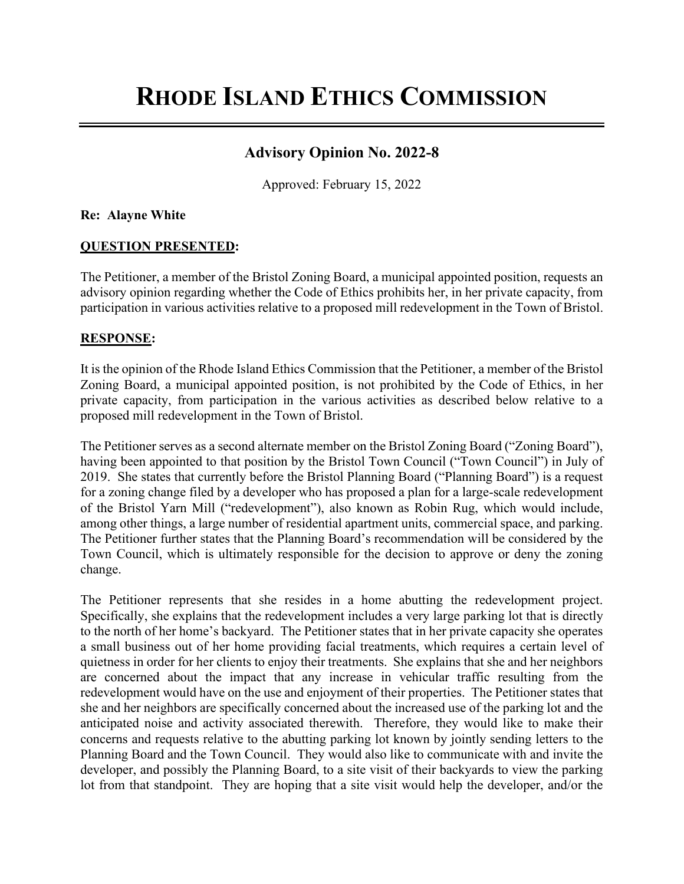# **RHODE ISLAND ETHICS COMMISSION**

## **Advisory Opinion No. 2022-8**

Approved: February 15, 2022

### **Re: Alayne White**

### **QUESTION PRESENTED:**

The Petitioner, a member of the Bristol Zoning Board, a municipal appointed position, requests an advisory opinion regarding whether the Code of Ethics prohibits her, in her private capacity, from participation in various activities relative to a proposed mill redevelopment in the Town of Bristol.

### **RESPONSE:**

It is the opinion of the Rhode Island Ethics Commission that the Petitioner, a member of the Bristol Zoning Board, a municipal appointed position, is not prohibited by the Code of Ethics, in her private capacity, from participation in the various activities as described below relative to a proposed mill redevelopment in the Town of Bristol.

The Petitioner serves as a second alternate member on the Bristol Zoning Board ("Zoning Board"), having been appointed to that position by the Bristol Town Council ("Town Council") in July of 2019. She states that currently before the Bristol Planning Board ("Planning Board") is a request for a zoning change filed by a developer who has proposed a plan for a large-scale redevelopment of the Bristol Yarn Mill ("redevelopment"), also known as Robin Rug, which would include, among other things, a large number of residential apartment units, commercial space, and parking. The Petitioner further states that the Planning Board's recommendation will be considered by the Town Council, which is ultimately responsible for the decision to approve or deny the zoning change.

The Petitioner represents that she resides in a home abutting the redevelopment project. Specifically, she explains that the redevelopment includes a very large parking lot that is directly to the north of her home's backyard. The Petitioner states that in her private capacity she operates a small business out of her home providing facial treatments, which requires a certain level of quietness in order for her clients to enjoy their treatments. She explains that she and her neighbors are concerned about the impact that any increase in vehicular traffic resulting from the redevelopment would have on the use and enjoyment of their properties. The Petitioner states that she and her neighbors are specifically concerned about the increased use of the parking lot and the anticipated noise and activity associated therewith.Therefore, they would like to make their concerns and requests relative to the abutting parking lot known by jointly sending letters to the Planning Board and the Town Council. They would also like to communicate with and invite the developer, and possibly the Planning Board, to a site visit of their backyards to view the parking lot from that standpoint. They are hoping that a site visit would help the developer, and/or the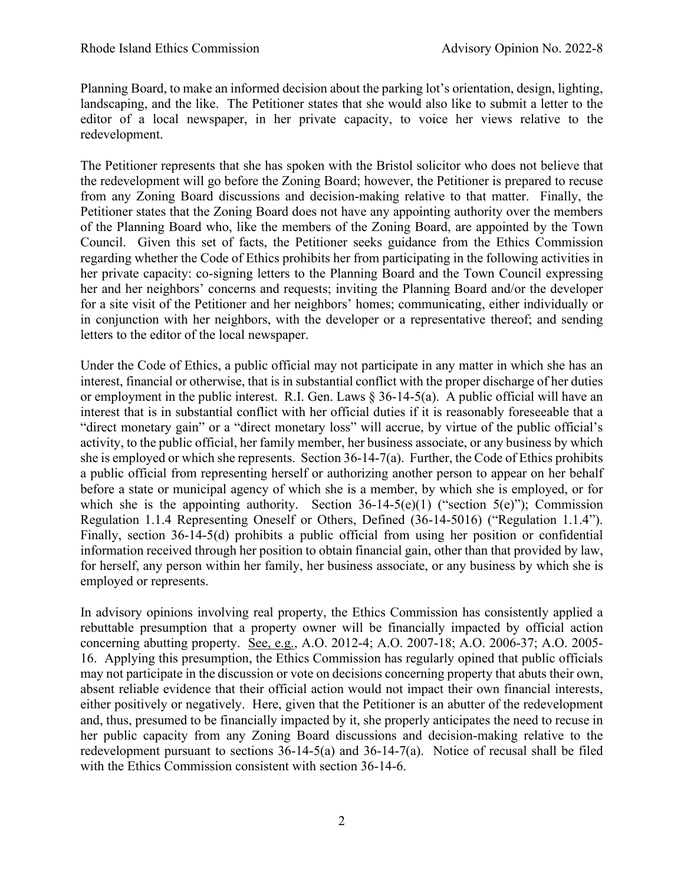Planning Board, to make an informed decision about the parking lot's orientation, design, lighting, landscaping, and the like. The Petitioner states that she would also like to submit a letter to the editor of a local newspaper, in her private capacity, to voice her views relative to the redevelopment.

The Petitioner represents that she has spoken with the Bristol solicitor who does not believe that the redevelopment will go before the Zoning Board; however, the Petitioner is prepared to recuse from any Zoning Board discussions and decision-making relative to that matter. Finally, the Petitioner states that the Zoning Board does not have any appointing authority over the members of the Planning Board who, like the members of the Zoning Board, are appointed by the Town Council. Given this set of facts, the Petitioner seeks guidance from the Ethics Commission regarding whether the Code of Ethics prohibits her from participating in the following activities in her private capacity: co-signing letters to the Planning Board and the Town Council expressing her and her neighbors' concerns and requests; inviting the Planning Board and/or the developer for a site visit of the Petitioner and her neighbors' homes; communicating, either individually or in conjunction with her neighbors, with the developer or a representative thereof; and sending letters to the editor of the local newspaper.

Under the Code of Ethics, a public official may not participate in any matter in which she has an interest, financial or otherwise, that is in substantial conflict with the proper discharge of her duties or employment in the public interest. R.I. Gen. Laws § 36-14-5(a). A public official will have an interest that is in substantial conflict with her official duties if it is reasonably foreseeable that a "direct monetary gain" or a "direct monetary loss" will accrue, by virtue of the public official's activity, to the public official, her family member, her business associate, or any business by which she is employed or which she represents. Section 36-14-7(a). Further, the Code of Ethics prohibits a public official from representing herself or authorizing another person to appear on her behalf before a state or municipal agency of which she is a member, by which she is employed, or for which she is the appointing authority. Section  $36-14-5(e)(1)$  ("section  $5(e)$ "); Commission Regulation 1.1.4 Representing Oneself or Others, Defined (36-14-5016) ("Regulation 1.1.4"). Finally, section 36-14-5(d) prohibits a public official from using her position or confidential information received through her position to obtain financial gain, other than that provided by law, for herself, any person within her family, her business associate, or any business by which she is employed or represents.

In advisory opinions involving real property, the Ethics Commission has consistently applied a rebuttable presumption that a property owner will be financially impacted by official action concerning abutting property. See, e.g., A.O. 2012-4; A.O. 2007-18; A.O. 2006-37; A.O. 2005- 16. Applying this presumption, the Ethics Commission has regularly opined that public officials may not participate in the discussion or vote on decisions concerning property that abuts their own, absent reliable evidence that their official action would not impact their own financial interests, either positively or negatively. Here, given that the Petitioner is an abutter of the redevelopment and, thus, presumed to be financially impacted by it, she properly anticipates the need to recuse in her public capacity from any Zoning Board discussions and decision-making relative to the redevelopment pursuant to sections 36-14-5(a) and 36-14-7(a). Notice of recusal shall be filed with the Ethics Commission consistent with section 36-14-6.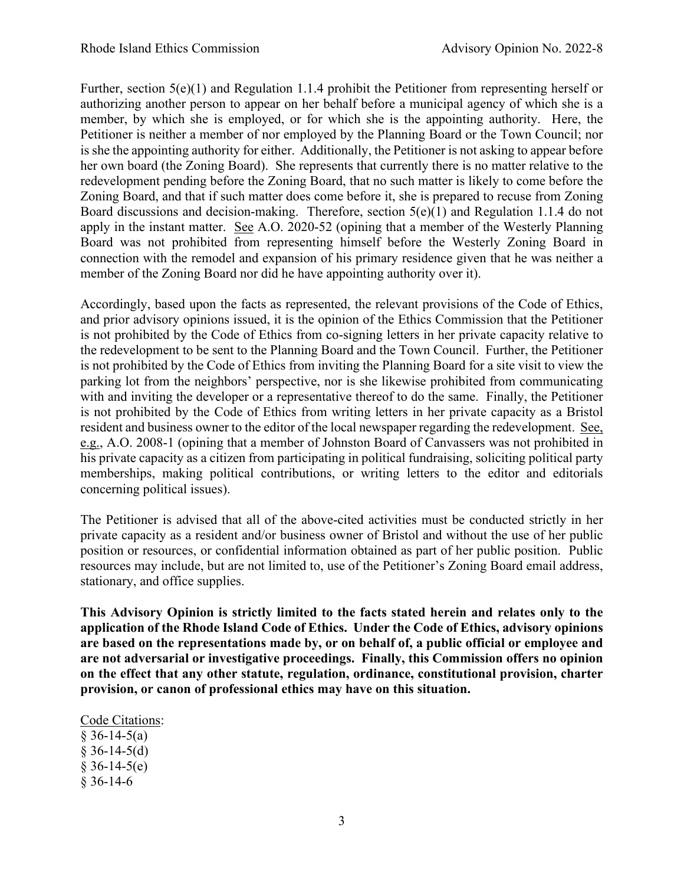Further, section  $5(e)(1)$  and Regulation 1.1.4 prohibit the Petitioner from representing herself or authorizing another person to appear on her behalf before a municipal agency of which she is a member, by which she is employed, or for which she is the appointing authority. Here, the Petitioner is neither a member of nor employed by the Planning Board or the Town Council; nor is she the appointing authority for either. Additionally, the Petitioner is not asking to appear before her own board (the Zoning Board). She represents that currently there is no matter relative to the redevelopment pending before the Zoning Board, that no such matter is likely to come before the Zoning Board, and that if such matter does come before it, she is prepared to recuse from Zoning Board discussions and decision-making. Therefore, section 5(e)(1) and Regulation 1.1.4 do not apply in the instant matter. See A.O. 2020-52 (opining that a member of the Westerly Planning Board was not prohibited from representing himself before the Westerly Zoning Board in connection with the remodel and expansion of his primary residence given that he was neither a member of the Zoning Board nor did he have appointing authority over it).

Accordingly, based upon the facts as represented, the relevant provisions of the Code of Ethics, and prior advisory opinions issued, it is the opinion of the Ethics Commission that the Petitioner is not prohibited by the Code of Ethics from co-signing letters in her private capacity relative to the redevelopment to be sent to the Planning Board and the Town Council. Further, the Petitioner is not prohibited by the Code of Ethics from inviting the Planning Board for a site visit to view the parking lot from the neighbors' perspective, nor is she likewise prohibited from communicating with and inviting the developer or a representative thereof to do the same. Finally, the Petitioner is not prohibited by the Code of Ethics from writing letters in her private capacity as a Bristol resident and business owner to the editor of the local newspaper regarding the redevelopment. See, e.g., A.O. 2008-1 (opining that a member of Johnston Board of Canvassers was not prohibited in his private capacity as a citizen from participating in political fundraising, soliciting political party memberships, making political contributions, or writing letters to the editor and editorials concerning political issues).

The Petitioner is advised that all of the above-cited activities must be conducted strictly in her private capacity as a resident and/or business owner of Bristol and without the use of her public position or resources, or confidential information obtained as part of her public position. Public resources may include, but are not limited to, use of the Petitioner's Zoning Board email address, stationary, and office supplies.

**This Advisory Opinion is strictly limited to the facts stated herein and relates only to the application of the Rhode Island Code of Ethics. Under the Code of Ethics, advisory opinions are based on the representations made by, or on behalf of, a public official or employee and are not adversarial or investigative proceedings. Finally, this Commission offers no opinion on the effect that any other statute, regulation, ordinance, constitutional provision, charter provision, or canon of professional ethics may have on this situation.** 

#### Code Citations:

 $§ 36-14-5(a)$  $§$  36-14-5(d)  $§ 36-14-5(e)$ § 36-14-6